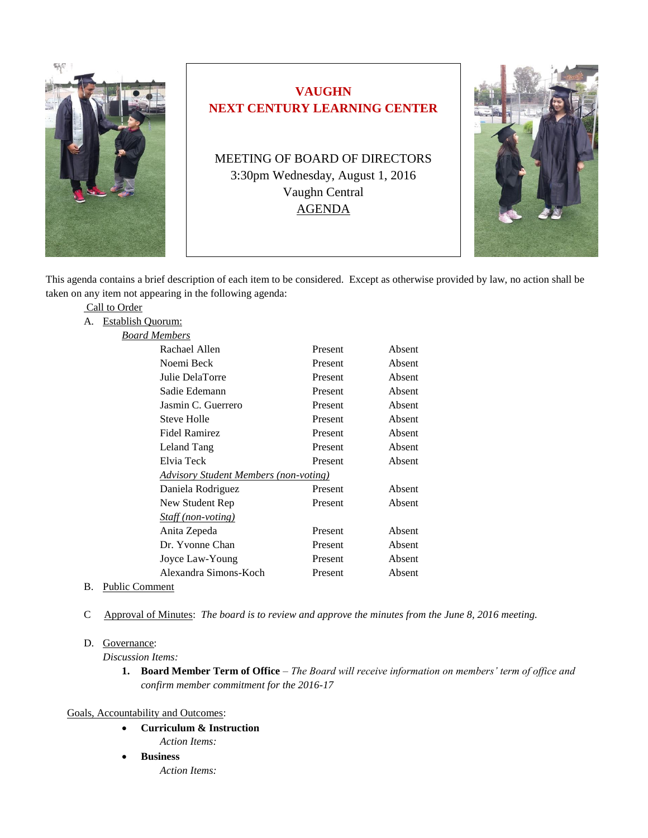

# **VAUGHN NEXT CENTURY LEARNING CENTER**

MEETING OF BOARD OF DIRECTORS 3:30pm Wednesday, August 1, 2016 Vaughn Central AGENDA



This agenda contains a brief description of each item to be considered. Except as otherwise provided by law, no action shall be taken on any item not appearing in the following agenda:

| Call to Order |                                              |         |        |
|---------------|----------------------------------------------|---------|--------|
| А.            | Establish Quorum:                            |         |        |
|               | <b>Board Members</b>                         |         |        |
|               | Rachael Allen                                | Present | Absent |
|               | Noemi Beck                                   | Present | Absent |
|               | Julie DelaTorre                              | Present | Absent |
|               | Sadie Edemann                                | Present | Absent |
|               | Jasmin C. Guerrero                           | Present | Absent |
|               | Steve Holle                                  | Present | Absent |
|               | <b>Fidel Ramirez</b>                         | Present | Absent |
|               | Leland Tang                                  | Present | Absent |
|               | Elvia Teck                                   | Present | Absent |
|               | <b>Advisory Student Members (non-voting)</b> |         |        |
|               | Daniela Rodriguez                            | Present | Absent |
|               | New Student Rep                              | Present | Absent |
|               | Staff (non-voting)                           |         |        |
|               | Anita Zepeda                                 | Present | Absent |
|               | Dr. Yvonne Chan                              | Present | Absent |
|               | Joyce Law-Young                              | Present | Absent |
|               | Alexandra Simons-Koch                        | Present | Absent |
|               |                                              |         |        |

- B. Public Comment
- C Approval of Minutes: *The board is to review and approve the minutes from the June 8, 2016 meeting.*

#### D. Governance:

*Discussion Items:* 

**1. Board Member Term of Office** – *The Board will receive information on members' term of office and confirm member commitment for the 2016-17* 

### Goals, Accountability and Outcomes:

- **Curriculum & Instruction**
	- *Action Items:*
- **Business** *Action Items:*